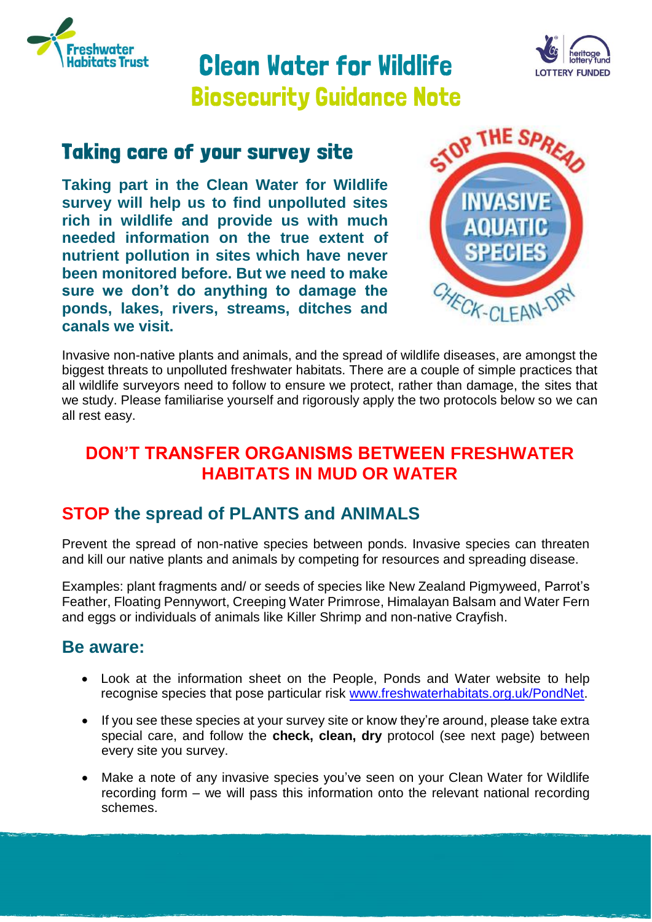

# **Clean Vater for Vildlife Biosecurity Guidance Note**



## **Taking care of your survey site**

**Taking part in the Clean Water for Wildlife survey will help us to find unpolluted sites rich in wildlife and provide us with much needed information on the true extent of nutrient pollution in sites which have never been monitored before. But we need to make sure we don't do anything to damage the ponds, lakes, rivers, streams, ditches and canals we visit.**



Invasive non-native plants and animals, and the spread of wildlife diseases, are amongst the biggest threats to unpolluted freshwater habitats. There are a couple of simple practices that all wildlife surveyors need to follow to ensure we protect, rather than damage, the sites that we study. Please familiarise yourself and rigorously apply the two protocols below so we can all rest easy.

#### **DON'T TRANSFER ORGANISMS BETWEEN FRESHWATER HABITATS IN MUD OR WATER**

### **STOP the spread of PLANTS and ANIMALS**

Prevent the spread of non-native species between ponds. Invasive species can threaten and kill our native plants and animals by competing for resources and spreading disease.

Examples: plant fragments and/ or seeds of species like New Zealand Pigmyweed, Parrot's Feather, Floating Pennywort, Creeping Water Primrose, Himalayan Balsam and Water Fern and eggs or individuals of animals like Killer Shrimp and non-native Crayfish.

#### **Be aware:**

- Look at the information sheet on the People, Ponds and Water website to help recognise species that pose particular risk [www.freshwaterhabitats.org.uk/PondNet.](http://www.freshwaterhabitats.org.uk/PondNet)
- If you see these species at your survey site or know they're around, please take extra special care, and follow the **check, clean, dry** protocol (see next page) between every site you survey.
- Make a note of any invasive species you've seen on your Clean Water for Wildlife recording form – we will pass this information onto the relevant national recording schemes.